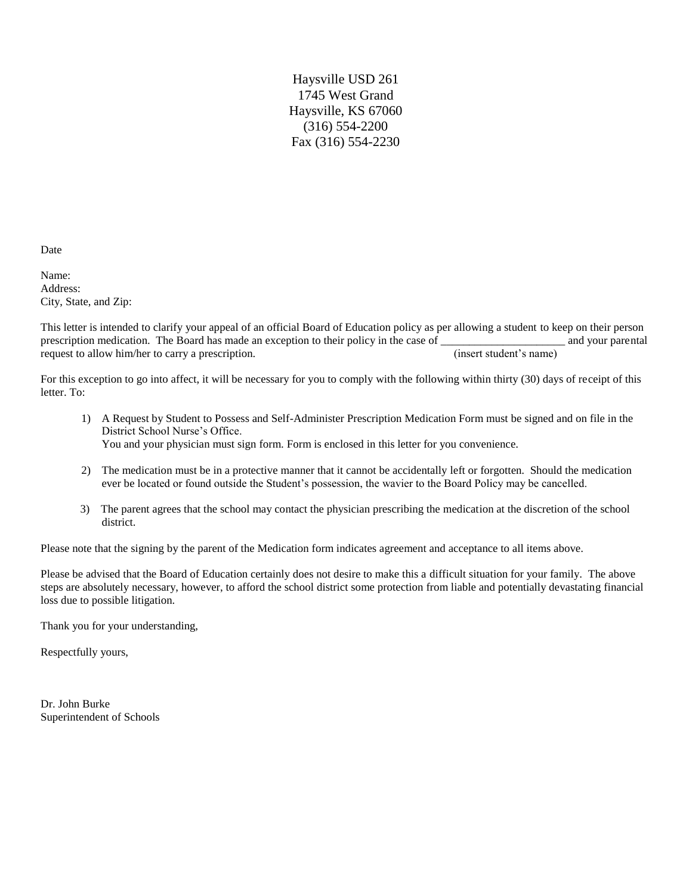Haysville USD 261 1745 West Grand Haysville, KS 67060 (316) 554-2200 Fax (316) 554-2230

Date

Name: Address: City, State, and Zip:

This letter is intended to clarify your appeal of an official Board of Education policy as per allowing a student to keep on their person prescription medication. The Board has made an exception to their policy in the case of \_\_\_\_\_\_\_\_\_\_\_\_\_\_\_\_\_\_\_\_\_ and your parental request to allow him/her to carry a prescription. request to allow him/her to carry a prescription.

For this exception to go into affect, it will be necessary for you to comply with the following within thirty (30) days of receipt of this letter. To:

- 1) A Request by Student to Possess and Self-Administer Prescription Medication Form must be signed and on file in the District School Nurse's Office. You and your physician must sign form. Form is enclosed in this letter for you convenience.
- 2) The medication must be in a protective manner that it cannot be accidentally left or forgotten. Should the medication ever be located or found outside the Student's possession, the wavier to the Board Policy may be cancelled.
- 3) The parent agrees that the school may contact the physician prescribing the medication at the discretion of the school district.

Please note that the signing by the parent of the Medication form indicates agreement and acceptance to all items above.

Please be advised that the Board of Education certainly does not desire to make this a difficult situation for your family. The above steps are absolutely necessary, however, to afford the school district some protection from liable and potentially devastating financial loss due to possible litigation.

Thank you for your understanding,

Respectfully yours,

Dr. John Burke Superintendent of Schools